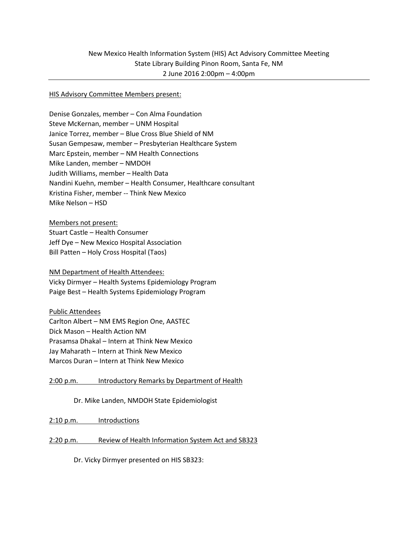### HIS Advisory Committee Members present:

Denise Gonzales, member – Con Alma Foundation Steve McKernan, member – UNM Hospital Janice Torrez, member – Blue Cross Blue Shield of NM Susan Gempesaw, member – Presbyterian Healthcare System Marc Epstein, member – NM Health Connections Mike Landen, member – NMDOH Judith Williams, member – Health Data Nandini Kuehn, member – Health Consumer, Healthcare consultant Kristina Fisher, member -- Think New Mexico Mike Nelson – HSD

Members not present: Stuart Castle – Health Consumer Jeff Dye – New Mexico Hospital Association Bill Patten – Holy Cross Hospital (Taos)

NM Department of Health Attendees: Vicky Dirmyer – Health Systems Epidemiology Program Paige Best – Health Systems Epidemiology Program

Public Attendees

Carlton Albert – NM EMS Region One, AASTEC Dick Mason – Health Action NM Prasamsa Dhakal – Intern at Think New Mexico Jay Maharath – Intern at Think New Mexico Marcos Duran – Intern at Think New Mexico

2:00 p.m. Introductory Remarks by Department of Health

Dr. Mike Landen, NMDOH State Epidemiologist

2:10 p.m. Introductions

2:20 p.m. Review of Health Information System Act and SB323

Dr. Vicky Dirmyer presented on HIS SB323: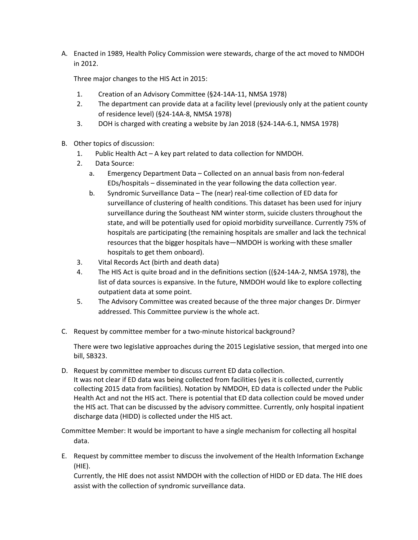A. Enacted in 1989, Health Policy Commission were stewards, charge of the act moved to NMDOH in 2012.

Three major changes to the HIS Act in 2015:

- 1. Creation of an Advisory Committee (§24-14A-11, NMSA 1978)
- 2. The department can provide data at a facility level (previously only at the patient county of residence level) (§24-14A-8, NMSA 1978)
- 3. DOH is charged with creating a website by Jan 2018 (§24-14A-6.1, NMSA 1978)
- B. Other topics of discussion:
	- 1. Public Health Act A key part related to data collection for NMDOH.
	- 2. Data Source:
		- a. Emergency Department Data Collected on an annual basis from non-federal EDs/hospitals – disseminated in the year following the data collection year.
		- b. Syndromic Surveillance Data The (near) real-time collection of ED data for surveillance of clustering of health conditions. This dataset has been used for injury surveillance during the Southeast NM winter storm, suicide clusters throughout the state, and will be potentially used for opioid morbidity surveillance. Currently 75% of hospitals are participating (the remaining hospitals are smaller and lack the technical resources that the bigger hospitals have—NMDOH is working with these smaller hospitals to get them onboard).
	- 3. Vital Records Act (birth and death data)
	- 4. The HIS Act is quite broad and in the definitions section ((§24-14A-2, NMSA 1978), the list of data sources is expansive. In the future, NMDOH would like to explore collecting outpatient data at some point.
	- 5. The Advisory Committee was created because of the three major changes Dr. Dirmyer addressed. This Committee purview is the whole act.
- C. Request by committee member for a two-minute historical background?

There were two legislative approaches during the 2015 Legislative session, that merged into one bill, SB323.

D. Request by committee member to discuss current ED data collection. It was not clear if ED data was being collected from facilities (yes it is collected, currently collecting 2015 data from facilities). Notation by NMDOH, ED data is collected under the Public Health Act and not the HIS act. There is potential that ED data collection could be moved under the HIS act. That can be discussed by the advisory committee. Currently, only hospital inpatient discharge data (HIDD) is collected under the HIS act.

Committee Member: It would be important to have a single mechanism for collecting all hospital data.

E. Request by committee member to discuss the involvement of the Health Information Exchange (HIE).

Currently, the HIE does not assist NMDOH with the collection of HIDD or ED data. The HIE does assist with the collection of syndromic surveillance data.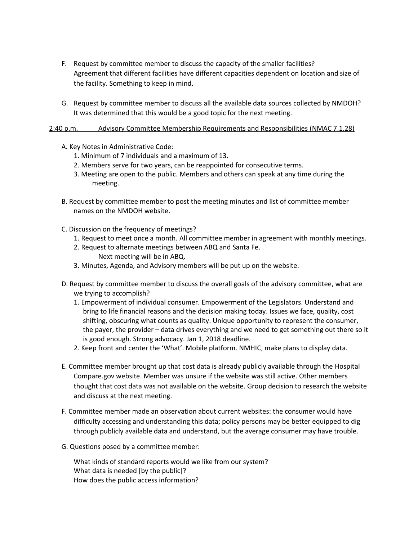- F. Request by committee member to discuss the capacity of the smaller facilities? Agreement that different facilities have different capacities dependent on location and size of the facility. Something to keep in mind.
- G. Request by committee member to discuss all the available data sources collected by NMDOH? It was determined that this would be a good topic for the next meeting.

## 2:40 p.m. Advisory Committee Membership Requirements and Responsibilities (NMAC 7.1.28)

- A. Key Notes in Administrative Code:
	- 1. Minimum of 7 individuals and a maximum of 13.
	- 2. Members serve for two years, can be reappointed for consecutive terms.
	- 3. Meeting are open to the public. Members and others can speak at any time during the meeting.
- B. Request by committee member to post the meeting minutes and list of committee member names on the NMDOH website.
- C. Discussion on the frequency of meetings?
	- 1. Request to meet once a month. All committee member in agreement with monthly meetings.
	- 2. Request to alternate meetings between ABQ and Santa Fe. Next meeting will be in ABQ.
	- 3. Minutes, Agenda, and Advisory members will be put up on the website.
- D. Request by committee member to discuss the overall goals of the advisory committee, what are we trying to accomplish?
	- 1. Empowerment of individual consumer. Empowerment of the Legislators. Understand and bring to life financial reasons and the decision making today. Issues we face, quality, cost shifting, obscuring what counts as quality. Unique opportunity to represent the consumer, the payer, the provider – data drives everything and we need to get something out there so it is good enough. Strong advocacy. Jan 1, 2018 deadline.
	- 2. Keep front and center the 'What'. Mobile platform. NMHIC, make plans to display data.
- E. Committee member brought up that cost data is already publicly available through the Hospital Compare.gov website. Member was unsure if the website was still active. Other members thought that cost data was not available on the website. Group decision to research the website and discuss at the next meeting.
- F. Committee member made an observation about current websites: the consumer would have difficulty accessing and understanding this data; policy persons may be better equipped to dig through publicly available data and understand, but the average consumer may have trouble.
- G. Questions posed by a committee member:

What kinds of standard reports would we like from our system? What data is needed [by the public]? How does the public access information?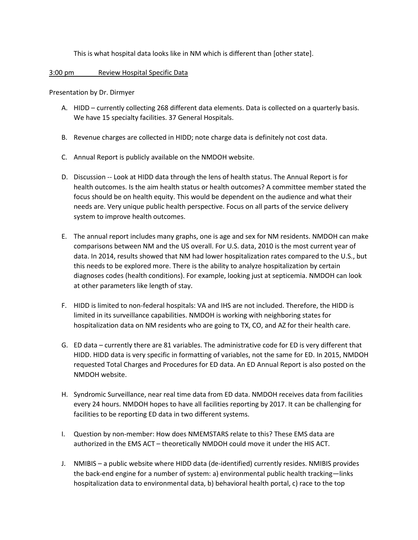This is what hospital data looks like in NM which is different than [other state].

3:00 pm Review Hospital Specific Data

Presentation by Dr. Dirmyer

- A. HIDD currently collecting 268 different data elements. Data is collected on a quarterly basis. We have 15 specialty facilities. 37 General Hospitals.
- B. Revenue charges are collected in HIDD; note charge data is definitely not cost data.
- C. Annual Report is publicly available on the NMDOH website.
- D. Discussion -- Look at HIDD data through the lens of health status. The Annual Report is for health outcomes. Is the aim health status or health outcomes? A committee member stated the focus should be on health equity. This would be dependent on the audience and what their needs are. Very unique public health perspective. Focus on all parts of the service delivery system to improve health outcomes.
- E. The annual report includes many graphs, one is age and sex for NM residents. NMDOH can make comparisons between NM and the US overall. For U.S. data, 2010 is the most current year of data. In 2014, results showed that NM had lower hospitalization rates compared to the U.S., but this needs to be explored more. There is the ability to analyze hospitalization by certain diagnoses codes (health conditions). For example, looking just at septicemia. NMDOH can look at other parameters like length of stay.
- F. HIDD is limited to non-federal hospitals: VA and IHS are not included. Therefore, the HIDD is limited in its surveillance capabilities. NMDOH is working with neighboring states for hospitalization data on NM residents who are going to TX, CO, and AZ for their health care.
- G. ED data currently there are 81 variables. The administrative code for ED is very different that HIDD. HIDD data is very specific in formatting of variables, not the same for ED. In 2015, NMDOH requested Total Charges and Procedures for ED data. An ED Annual Report is also posted on the NMDOH website.
- H. Syndromic Surveillance, near real time data from ED data. NMDOH receives data from facilities every 24 hours. NMDOH hopes to have all facilities reporting by 2017. It can be challenging for facilities to be reporting ED data in two different systems.
- I. Question by non-member: How does NMEMSTARS relate to this? These EMS data are authorized in the EMS ACT – theoretically NMDOH could move it under the HIS ACT.
- J. NMIBIS a public website where HIDD data (de-identified) currently resides. NMIBIS provides the back-end engine for a number of system: a) environmental public health tracking—links hospitalization data to environmental data, b) behavioral health portal, c) race to the top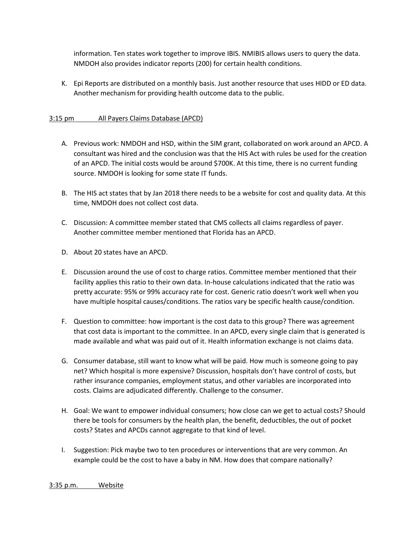information. Ten states work together to improve IBIS. NMIBIS allows users to query the data. NMDOH also provides indicator reports (200) for certain health conditions.

K. Epi Reports are distributed on a monthly basis. Just another resource that uses HIDD or ED data. Another mechanism for providing health outcome data to the public.

# 3:15 pm All Payers Claims Database (APCD)

- A. Previous work: NMDOH and HSD, within the SIM grant, collaborated on work around an APCD. A consultant was hired and the conclusion was that the HIS Act with rules be used for the creation of an APCD. The initial costs would be around \$700K. At this time, there is no current funding source. NMDOH is looking for some state IT funds.
- B. The HIS act states that by Jan 2018 there needs to be a website for cost and quality data. At this time, NMDOH does not collect cost data.
- C. Discussion: A committee member stated that CMS collects all claims regardless of payer. Another committee member mentioned that Florida has an APCD.
- D. About 20 states have an APCD.
- E. Discussion around the use of cost to charge ratios. Committee member mentioned that their facility applies this ratio to their own data. In-house calculations indicated that the ratio was pretty accurate: 95% or 99% accuracy rate for cost. Generic ratio doesn't work well when you have multiple hospital causes/conditions. The ratios vary be specific health cause/condition.
- F. Question to committee: how important is the cost data to this group? There was agreement that cost data is important to the committee. In an APCD, every single claim that is generated is made available and what was paid out of it. Health information exchange is not claims data.
- G. Consumer database, still want to know what will be paid. How much is someone going to pay net? Which hospital is more expensive? Discussion, hospitals don't have control of costs, but rather insurance companies, employment status, and other variables are incorporated into costs. Claims are adjudicated differently. Challenge to the consumer.
- H. Goal: We want to empower individual consumers; how close can we get to actual costs? Should there be tools for consumers by the health plan, the benefit, deductibles, the out of pocket costs? States and APCDs cannot aggregate to that kind of level.
- I. Suggestion: Pick maybe two to ten procedures or interventions that are very common. An example could be the cost to have a baby in NM. How does that compare nationally?

3:35 p.m. Website